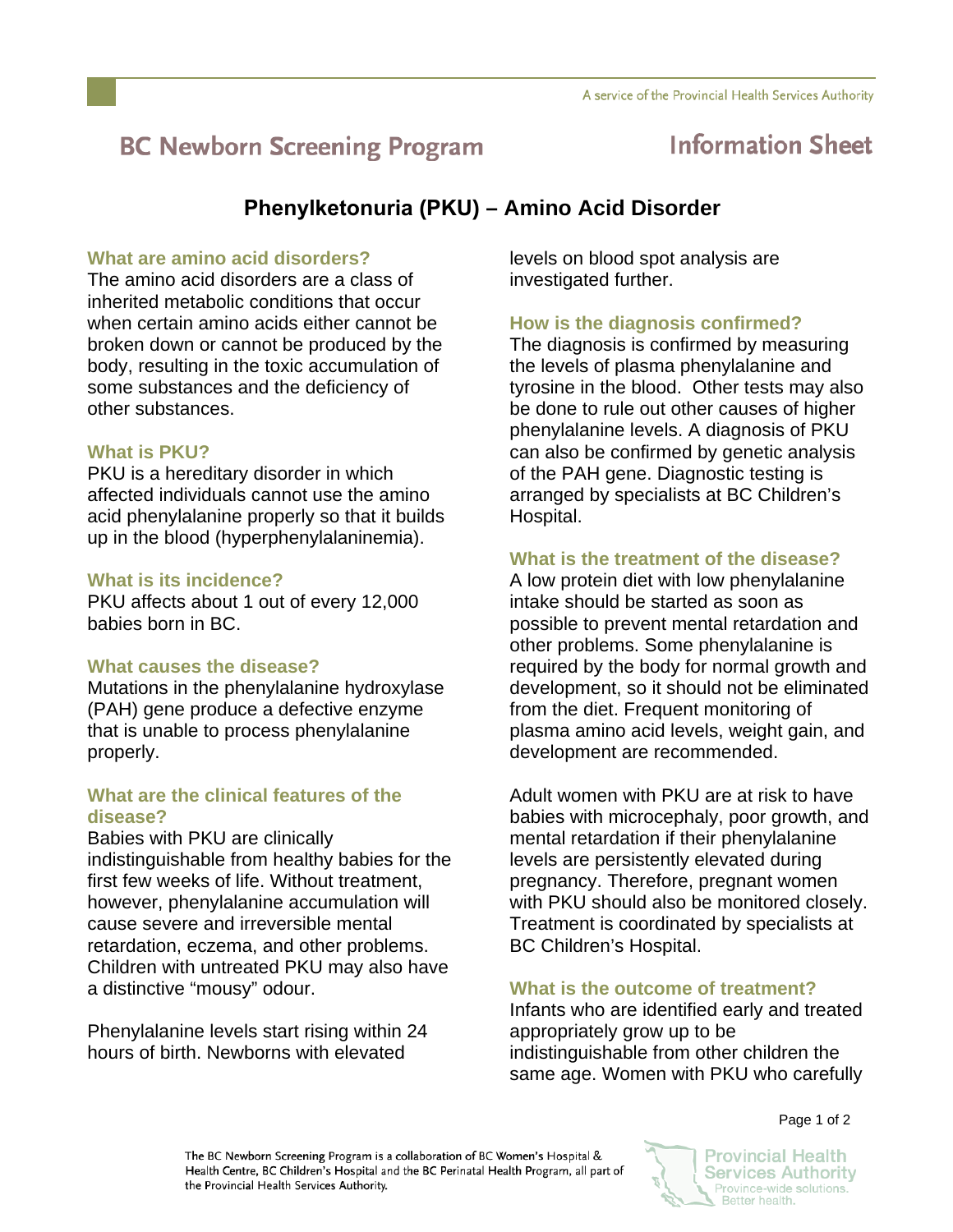# **BC Newborn Screening Program**

## **Information Sheet**

### **Phenylketonuria (PKU) – Amino Acid Disorder**

#### **What are amino acid disorders?**

The amino acid disorders are a class of inherited metabolic conditions that occur when certain amino acids either cannot be broken down or cannot be produced by the body, resulting in the toxic accumulation of some substances and the deficiency of other substances.

#### **What is PKU?**

PKU is a hereditary disorder in which affected individuals cannot use the amino acid phenylalanine properly so that it builds up in the blood (hyperphenylalaninemia).

#### **What is its incidence?**

PKU affects about 1 out of every 12,000 babies born in BC.

#### **What causes the disease?**

Mutations in the phenylalanine hydroxylase (PAH) gene produce a defective enzyme that is unable to process phenylalanine properly.

#### **What are the clinical features of the disease?**

Babies with PKU are clinically indistinguishable from healthy babies for the first few weeks of life. Without treatment, however, phenylalanine accumulation will cause severe and irreversible mental retardation, eczema, and other problems. Children with untreated PKU may also have a distinctive "mousy" odour.

Phenylalanine levels start rising within 24 hours of birth. Newborns with elevated

levels on blood spot analysis are investigated further.

#### **How is the diagnosis confirmed?**

The diagnosis is confirmed by measuring the levels of plasma phenylalanine and tyrosine in the blood. Other tests may also be done to rule out other causes of higher phenylalanine levels. A diagnosis of PKU can also be confirmed by genetic analysis of the PAH gene. Diagnostic testing is arranged by specialists at BC Children's Hospital.

#### **What is the treatment of the disease?**

A low protein diet with low phenylalanine intake should be started as soon as possible to prevent mental retardation and other problems. Some phenylalanine is required by the body for normal growth and development, so it should not be eliminated from the diet. Frequent monitoring of plasma amino acid levels, weight gain, and development are recommended.

Adult women with PKU are at risk to have babies with microcephaly, poor growth, and mental retardation if their phenylalanine levels are persistently elevated during pregnancy. Therefore, pregnant women with PKU should also be monitored closely. Treatment is coordinated by specialists at BC Children's Hospital.

#### **What is the outcome of treatment?**

Infants who are identified early and treated appropriately grow up to be indistinguishable from other children the same age. Women with PKU who carefully

Page 1 of 2